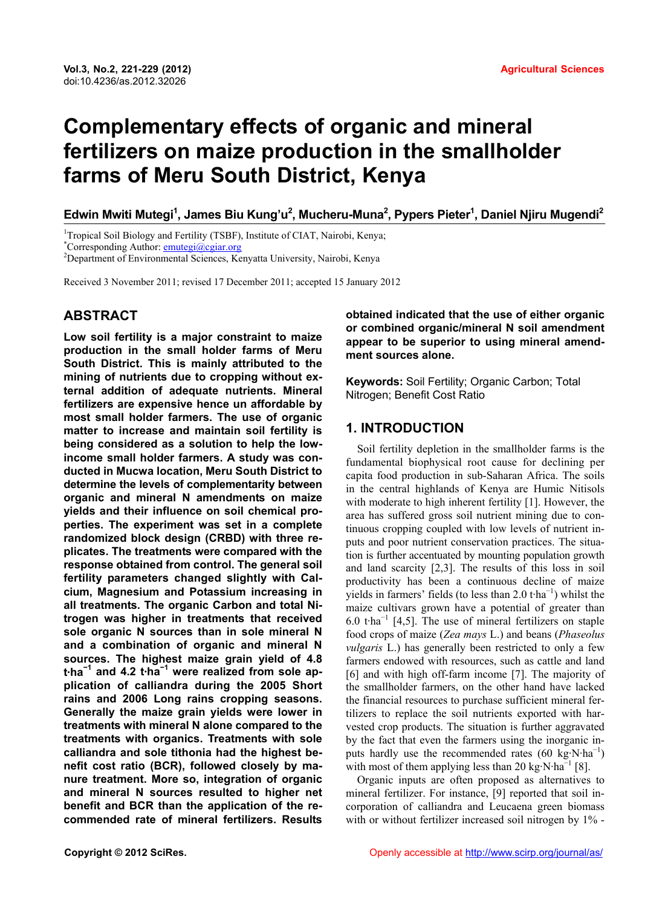# **Complementary effects of organic and mineral fertilizers on maize production in the smallholder farms of Meru South District, Kenya**

**Edwin Mwiti Mutegi1 , James Biu Kung'u2 , Mucheru-Muna2 , Pypers Pieter1 , Daniel Njiru Mugendi2**

<sup>1</sup>Tropical Soil Biology and Fertility (TSBF), Institute of CIAT, Nairobi, Kenya;

Corresponding Author:  $\frac{\text{emutegi}(a)\text{cgiar.org}}{2}$ 

Department of Environmental Sciences, Kenyatta University, Nairobi, Kenya

Received 3 November 2011; revised 17 December 2011; accepted 15 January 2012

# **ABSTRACT**

**Low soil fertility is a major constraint to maize production in the small holder farms of Meru South District. This is mainly attributed to the mining of nutrients due to cropping without external addition of adequate nutrients. Mineral fertilizers are expensive hence un affordable by most small holder farmers. The use of organic matter to increase and maintain soil fertility is being considered as a solution to help the lowincome small holder farmers. A study was conducted in Mucwa location, Meru South District to determine the levels of complementarity between organic and mineral N amendments on maize yields and their influence on soil chemical properties. The experiment was set in a complete randomized block design (CRBD) with three replicates. The treatments were compared with the response obtained from control. The general soil fertility parameters changed slightly with Calcium, Magnesium and Potassium increasing in all treatments. The organic Carbon and total Nitrogen was higher in treatments that received sole organic N sources than in sole mineral N and a combination of organic and mineral N sources. The highest maize grain yield of 4.8 t·ha<sup>−</sup><sup>1</sup> and 4.2 t·ha<sup>−</sup><sup>1</sup> were realized from sole application of calliandra during the 2005 Short rains and 2006 Long rains cropping seasons. Generally the maize grain yields were lower in treatments with mineral N alone compared to the treatments with organics. Treatments with sole calliandra and sole tithonia had the highest benefit cost ratio (BCR), followed closely by manure treatment. More so, integration of organic and mineral N sources resulted to higher net benefit and BCR than the application of the recommended rate of mineral fertilizers. Results** 

**obtained indicated that the use of either organic or combined organic/mineral N soil amendment appear to be superior to using mineral amendment sources alone.** 

**Keywords:** Soil Fertility; Organic Carbon; Total Nitrogen; Benefit Cost Ratio

# **1. INTRODUCTION**

Soil fertility depletion in the smallholder farms is the fundamental biophysical root cause for declining per capita food production in sub-Saharan Africa. The soils in the central highlands of Kenya are Humic Nitisols with moderate to high inherent fertility [1]. However, the area has suffered gross soil nutrient mining due to continuous cropping coupled with low levels of nutrient inputs and poor nutrient conservation practices. The situation is further accentuated by mounting population growth and land scarcity [2,3]. The results of this loss in soil productivity has been a continuous decline of maize yields in farmers' fields (to less than  $2.0$  t·ha<sup>-1</sup>) whilst the maize cultivars grown have a potential of greater than 6.0 t·ha<sup>-1</sup> [4,5]. The use of mineral fertilizers on staple food crops of maize (*Zea mays* L.) and beans (*Phaseolus vulgaris* L.) has generally been restricted to only a few farmers endowed with resources, such as cattle and land [6] and with high off-farm income [7]. The majority of the smallholder farmers, on the other hand have lacked the financial resources to purchase sufficient mineral fertilizers to replace the soil nutrients exported with harvested crop products. The situation is further aggravated by the fact that even the farmers using the inorganic inputs hardly use the recommended rates (60 kg·N·ha<sup>-1</sup>) with most of them applying less than 20 kg $\cdot$ N $\cdot$ ha<sup>-1</sup> [8].

Organic inputs are often proposed as alternatives to mineral fertilizer. For instance, [9] reported that soil incorporation of calliandra and Leucaena green biomass with or without fertilizer increased soil nitrogen by  $1\%$  -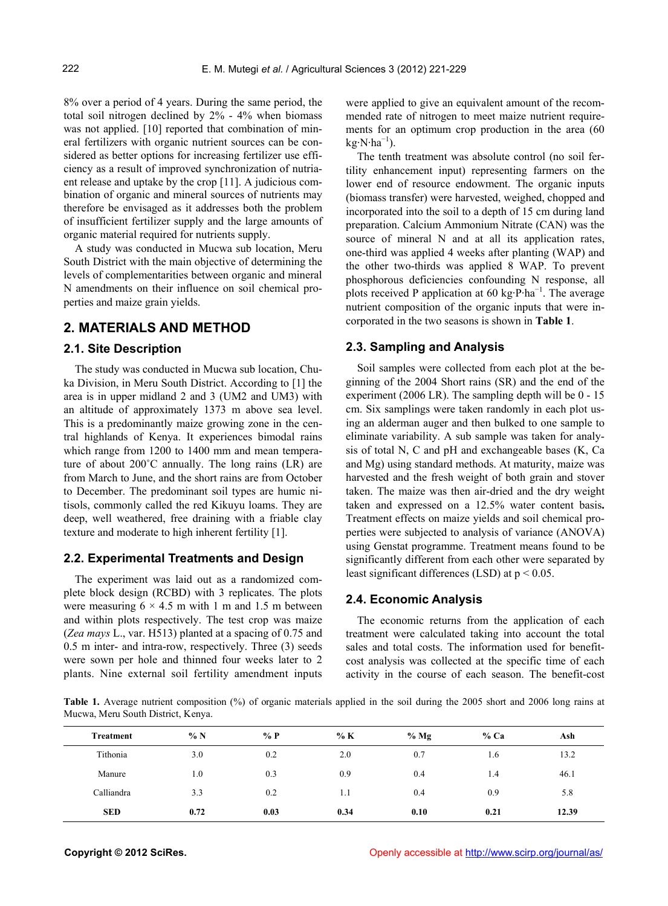8% over a period of 4 years. During the same period, the total soil nitrogen declined by 2% - 4% when biomass was not applied. [10] reported that combination of mineral fertilizers with organic nutrient sources can be considered as better options for increasing fertilizer use efficiency as a result of improved synchronization of nutriaent release and uptake by the crop [11]. A judicious combination of organic and mineral sources of nutrients may therefore be envisaged as it addresses both the problem of insufficient fertilizer supply and the large amounts of organic material required for nutrients supply.

A study was conducted in Mucwa sub location, Meru South District with the main objective of determining the levels of complementarities between organic and mineral N amendments on their influence on soil chemical properties and maize grain yields.

## **2. MATERIALS AND METHOD**

## **2.1. Site Description**

The study was conducted in Mucwa sub location, Chuka Division, in Meru South District. According to [1] the area is in upper midland 2 and 3 (UM2 and UM3) with an altitude of approximately 1373 m above sea level. This is a predominantly maize growing zone in the central highlands of Kenya. It experiences bimodal rains which range from 1200 to 1400 mm and mean temperature of about 200˚C annually. The long rains (LR) are from March to June, and the short rains are from October to December. The predominant soil types are humic nitisols, commonly called the red Kikuyu loams. They are deep, well weathered, free draining with a friable clay texture and moderate to high inherent fertility [1].

#### **2.2. Experimental Treatments and Design**

The experiment was laid out as a randomized complete block design (RCBD) with 3 replicates. The plots were measuring  $6 \times 4.5$  m with 1 m and 1.5 m between and within plots respectively. The test crop was maize (*Zea mays* L., var. H513) planted at a spacing of 0.75 and 0.5 m inter- and intra-row, respectively. Three (3) seeds were sown per hole and thinned four weeks later to 2 plants. Nine external soil fertility amendment inputs

were applied to give an equivalent amount of the recommended rate of nitrogen to meet maize nutrient requirements for an optimum crop production in the area (60  $kg·N·ha^{-1}$ ).

The tenth treatment was absolute control (no soil fertility enhancement input) representing farmers on the lower end of resource endowment. The organic inputs (biomass transfer) were harvested, weighed, chopped and incorporated into the soil to a depth of 15 cm during land preparation. Calcium Ammonium Nitrate (CAN) was the source of mineral N and at all its application rates, one-third was applied 4 weeks after planting (WAP) and the other two-thirds was applied 8 WAP. To prevent phosphorous deficiencies confounding N response, all plots received P application at 60 kg⋅P⋅ha<sup>-1</sup>. The average nutrient composition of the organic inputs that were incorporated in the two seasons is shown in **Table 1**.

#### **2.3. Sampling and Analysis**

Soil samples were collected from each plot at the beginning of the 2004 Short rains (SR) and the end of the experiment (2006 LR). The sampling depth will be 0 - 15 cm. Six samplings were taken randomly in each plot using an alderman auger and then bulked to one sample to eliminate variability. A sub sample was taken for analysis of total N, C and pH and exchangeable bases (K, Ca and Mg) using standard methods. At maturity, maize was harvested and the fresh weight of both grain and stover taken. The maize was then air-dried and the dry weight taken and expressed on a 12.5% water content basis**.**  Treatment effects on maize yields and soil chemical properties were subjected to analysis of variance (ANOVA) using Genstat programme. Treatment means found to be significantly different from each other were separated by least significant differences (LSD) at p < 0.05.

#### **2.4. Economic Analysis**

The economic returns from the application of each treatment were calculated taking into account the total sales and total costs. The information used for benefitcost analysis was collected at the specific time of each activity in the course of each season. The benefit-cost

**Table 1.** Average nutrient composition (%) of organic materials applied in the soil during the 2005 short and 2006 long rains at Mucwa, Meru South District, Kenya.

| Treatment  | %N   | % $P$ | % K  | $%$ Mg | $%$ Ca | Ash   |
|------------|------|-------|------|--------|--------|-------|
| Tithonia   | 3.0  | 0.2   | 2.0  | 0.7    | 1.6    | 13.2  |
| Manure     | 1.0  | 0.3   | 0.9  | 0.4    | 1.4    | 46.1  |
| Calliandra | 3.3  | 0.2   | 1.1  | 0.4    | 0.9    | 5.8   |
| <b>SED</b> | 0.72 | 0.03  | 0.34 | 0.10   | 0.21   | 12.39 |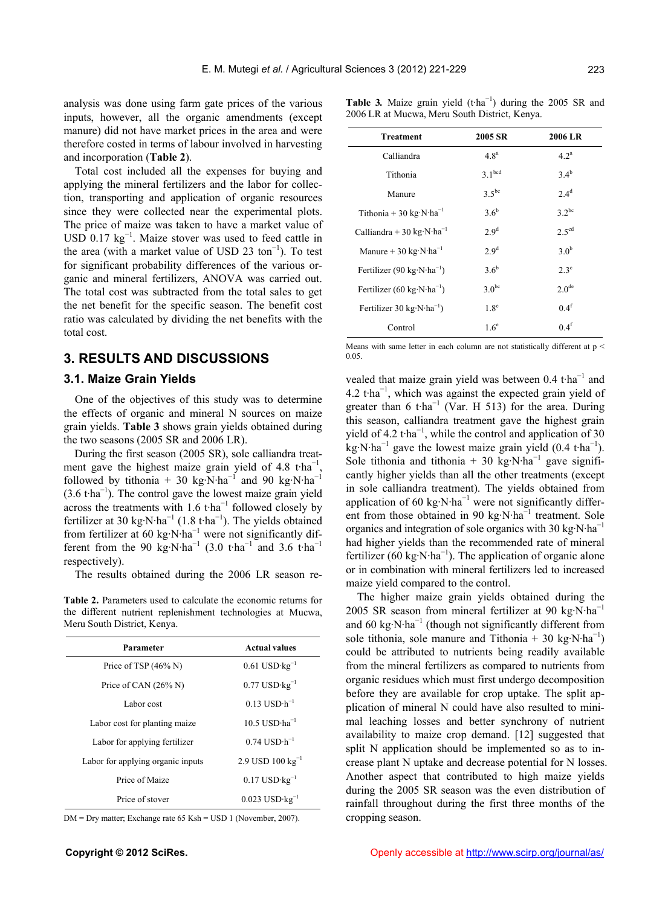analysis was done using farm gate prices of the various inputs, however, all the organic amendments (except manure) did not have market prices in the area and were therefore costed in terms of labour involved in harvesting and incorporation (**Table 2**).

Total cost included all the expenses for buying and applying the mineral fertilizers and the labor for collection, transporting and application of organic resources since they were collected near the experimental plots. The price of maize was taken to have a market value of USD  $0.17 \text{ kg}^{-1}$ . Maize stover was used to feed cattle in the area (with a market value of USD 23 ton<sup>-1</sup>). To test for significant probability differences of the various organic and mineral fertilizers, ANOVA was carried out. The total cost was subtracted from the total sales to get the net benefit for the specific season. The benefit cost ratio was calculated by dividing the net benefits with the total cost.

# **3. RESULTS AND DISCUSSIONS**

### **3.1. Maize Grain Yields**

One of the objectives of this study was to determine the effects of organic and mineral N sources on maize grain yields. **Table 3** shows grain yields obtained during the two seasons (2005 SR and 2006 LR).

During the first season (2005 SR), sole calliandra treatment gave the highest maize grain yield of 4.8 t·ha<sup>-1</sup> , followed by tithonia + 30 kg·N·ha<sup>-1</sup> and 90 kg·N·ha<sup>-1</sup> (3.6 t·ha<sup>−</sup><sup>1</sup> ). The control gave the lowest maize grain yield across the treatments with  $1.6$  t·ha<sup>-1</sup> followed closely by fertilizer at 30 kg⋅N⋅ha<sup>-1</sup> (1.8 t⋅ha<sup>-1</sup>). The yields obtained from fertilizer at 60 kg⋅N⋅ha<sup>-1</sup> were not significantly different from the 90 kg⋅N⋅ha<sup>-1</sup> (3.0 t⋅ha<sup>-1</sup> and 3.6 t⋅ha<sup>-1</sup> respectively).

The results obtained during the 2006 LR season re-

**Table 2.** Parameters used to calculate the economic returns for the different nutrient replenishment technologies at Mucwa, Meru South District, Kenya.

| Parameter                         | <b>Actual values</b>                 |
|-----------------------------------|--------------------------------------|
| Price of TSP (46% N)              | $0.61$ USD $\cdot$ kg <sup>-1</sup>  |
| Price of CAN $(26\% N)$           | $0.77$ USD $\cdot$ kg <sup>-1</sup>  |
| Labor cost                        | $0.13$ USD $\cdot$ h <sup>-1</sup>   |
| Labor cost for planting maize     | $10.5$ USD $\cdot$ ha <sup>-1</sup>  |
| Labor for applying fertilizer     | $0.74$ USD $\cdot$ h <sup>-1</sup>   |
| Labor for applying organic inputs | $2.9$ USD $100 \text{ kg}^{-1}$      |
| Price of Maize                    | $0.17$ USD $\cdot$ kg <sup>-1</sup>  |
| Price of stover                   | $0.023$ USD $\cdot$ kg <sup>-1</sup> |

DM = Dry matter; Exchange rate 65 Ksh = USD 1 (November, 2007).

**Table 3***.* Maize grain yield (t·ha<sup>−</sup><sup>1</sup> ) during the 2005 SR and 2006 LR at Mucwa, Meru South District, Kenya.

| <b>Treatment</b>                                  | 2005 SR            | 2006 LR             |
|---------------------------------------------------|--------------------|---------------------|
| Calliandra                                        | 4.8 <sup>a</sup>   | 4.2 <sup>a</sup>    |
| Tithonia                                          | 3.1 <sup>bcd</sup> | 34 <sup>b</sup>     |
| Manure                                            | $3.5^{bc}$         | 2.4 <sup>d</sup>    |
| Tithonia + 30 kg·N·ha <sup>-1</sup>               | 3.6 <sup>b</sup>   | $3.2^{bc}$          |
| Calliandra + 30 kg·N·ha <sup>-1</sup>             | 2.9 <sup>d</sup>   | $2.5$ <sup>cd</sup> |
| Manure + 30 kg $\cdot$ N $\cdot$ ha <sup>-1</sup> | 2.9 <sup>d</sup>   | 30 <sup>b</sup>     |
| Fertilizer (90 kg·N·ha <sup>-1</sup> )            | 3.6 <sup>b</sup>   | $2.3^\circ$         |
| Fertilizer (60 kg·N·ha <sup>-1</sup> )            | $3.0^{bc}$         | 2.0 <sup>de</sup>   |
| Fertilizer 30 $kg \cdot N \cdot ha^{-1}$ )        | 1.8 <sup>e</sup>   | 0.4 <sup>f</sup>    |
| Control                                           | 1.6 <sup>e</sup>   | 0.4 <sup>f</sup>    |

Means with same letter in each column are not statistically different at p < 0.05.

vealed that maize grain yield was between  $0.4$  t·ha<sup>-1</sup> and 4.2 t·ha<sup>-1</sup>, which was against the expected grain yield of greater than 6 t·ha<sup>-1</sup> (Var. H 513) for the area. During this season, calliandra treatment gave the highest grain yield of 4.2 t·ha<sup>-1</sup>, while the control and application of 30 kg⋅N⋅ha<sup>-1</sup> gave the lowest maize grain yield  $(0.4 \text{ t} \cdot \text{ha}^{-1})$ . Sole tithonia and tithonia + 30 kg⋅N⋅ha<sup>-1</sup> gave significantly higher yields than all the other treatments (except in sole calliandra treatment). The yields obtained from application of 60 kg⋅N⋅ha<sup>-1</sup> were not significantly different from those obtained in 90 kg⋅N⋅ha $^{-1}$  treatment. Sole organics and integration of sole organics with 30 kg·N·ha<sup>−</sup><sup>1</sup> had higher yields than the recommended rate of mineral fertilizer (60 kg⋅N⋅ha<sup>-1</sup>). The application of organic alone or in combination with mineral fertilizers led to increased maize yield compared to the control.

The higher maize grain yields obtained during the 2005 SR season from mineral fertilizer at 90 kg·N·ha<sup>-1</sup> and 60 kg⋅N⋅ha<sup>-1</sup> (though not significantly different from sole tithonia, sole manure and Tithonia + 30 kg·N·ha<sup>-1</sup>) could be attributed to nutrients being readily available from the mineral fertilizers as compared to nutrients from organic residues which must first undergo decomposition before they are available for crop uptake. The split application of mineral N could have also resulted to minimal leaching losses and better synchrony of nutrient availability to maize crop demand. [12] suggested that split N application should be implemented so as to increase plant N uptake and decrease potential for N losses. Another aspect that contributed to high maize yields during the 2005 SR season was the even distribution of rainfall throughout during the first three months of the cropping season.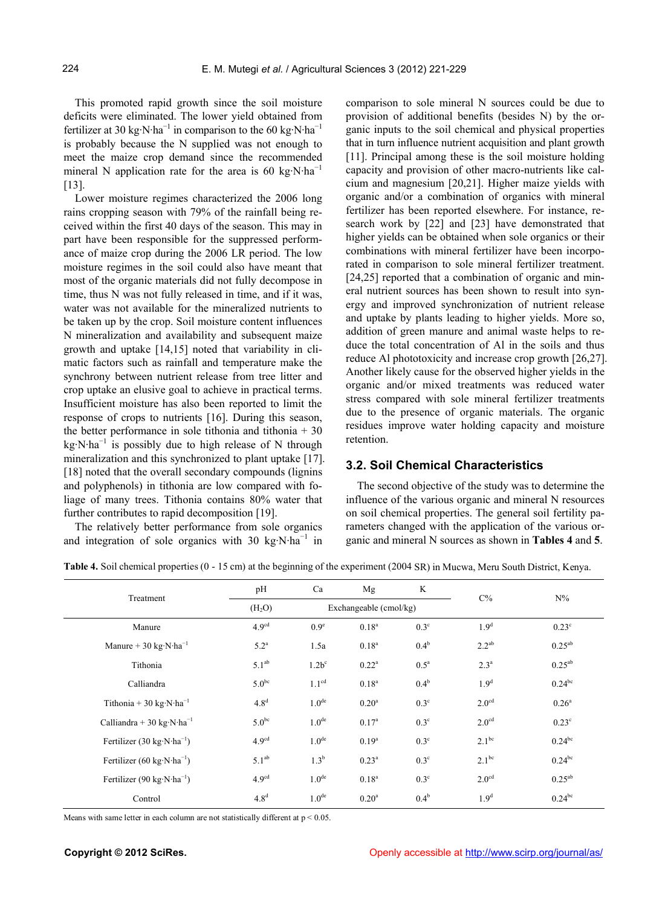This promoted rapid growth since the soil moisture deficits were eliminated. The lower yield obtained from fertilizer at 30 kg⋅N⋅ha<sup>-1</sup> in comparison to the 60 kg⋅N⋅ha<sup>-1</sup> is probably because the N supplied was not enough to meet the maize crop demand since the recommended mineral N application rate for the area is 60 kg⋅N⋅ha<sup>-1</sup> [13].

Lower moisture regimes characterized the 2006 long rains cropping season with 79% of the rainfall being received within the first 40 days of the season. This may in part have been responsible for the suppressed performance of maize crop during the 2006 LR period. The low moisture regimes in the soil could also have meant that most of the organic materials did not fully decompose in time, thus N was not fully released in time, and if it was, water was not available for the mineralized nutrients to be taken up by the crop. Soil moisture content influences N mineralization and availability and subsequent maize growth and uptake [14,15] noted that variability in climatic factors such as rainfall and temperature make the synchrony between nutrient release from tree litter and crop uptake an elusive goal to achieve in practical terms. Insufficient moisture has also been reported to limit the response of crops to nutrients [16]. During this season, the better performance in sole tithonia and tithonia  $+30$  $kg·N·ha^{-1}$  is possibly due to high release of N through mineralization and this synchronized to plant uptake [17]. [18] noted that the overall secondary compounds (lignins and polyphenols) in tithonia are low compared with foliage of many trees. Tithonia contains 80% water that further contributes to rapid decomposition [19].

The relatively better performance from sole organics and integration of sole organics with 30 kg·N·ha<sup>-1</sup> in comparison to sole mineral N sources could be due to provision of additional benefits (besides N) by the organic inputs to the soil chemical and physical properties that in turn influence nutrient acquisition and plant growth [11]. Principal among these is the soil moisture holding capacity and provision of other macro-nutrients like calcium and magnesium [20,21]. Higher maize yields with organic and/or a combination of organics with mineral fertilizer has been reported elsewhere. For instance, research work by [22] and [23] have demonstrated that higher yields can be obtained when sole organics or their combinations with mineral fertilizer have been incorporated in comparison to sole mineral fertilizer treatment. [24,25] reported that a combination of organic and mineral nutrient sources has been shown to result into synergy and improved synchronization of nutrient release and uptake by plants leading to higher yields. More so, addition of green manure and animal waste helps to reduce the total concentration of Al in the soils and thus reduce Al phototoxicity and increase crop growth [26,27]. Another likely cause for the observed higher yields in the organic and/or mixed treatments was reduced water stress compared with sole mineral fertilizer treatments due to the presence of organic materials. The organic residues improve water holding capacity and moisture retention.

# **3.2. Soil Chemical Characteristics**

The second objective of the study was to determine the influence of the various organic and mineral N resources on soil chemical properties. The general soil fertility parameters changed with the application of the various organic and mineral N sources as shown in **Tables 4** and **5**.

**Table 4.** Soil chemical properties (0 - 15 cm) at the beginning of the experiment (2004 SR) in Mucwa, Meru South District, Kenya.

| Treatment                                         | pH                 | Ca                     | Mg                | K                | $C\%$             |                      |  |
|---------------------------------------------------|--------------------|------------------------|-------------------|------------------|-------------------|----------------------|--|
|                                                   | (H <sub>2</sub> O) | Exchangeable (cmol/kg) |                   |                  |                   | $N\%$                |  |
| Manure                                            | 4.9 <sup>cd</sup>  | 0.9 <sup>e</sup>       | $0.18^{a}$        | 0.3 <sup>c</sup> | 1.9 <sup>d</sup>  | $0.23^{\circ}$       |  |
| Manure + 30 kg $\cdot$ N $\cdot$ ha <sup>-1</sup> | $5.2^{\mathrm{a}}$ | 1.5a                   | $0.18^{a}$        | $0.4^{\rm b}$    | $2.2^{ab}$        | $0.25^{ab}$          |  |
| Tithonia                                          | $5.1^{ab}$         | $1.2b^c$               | $0.22^a$          | $0.5^a$          | $2.3^a$           | $0.25^{ab}$          |  |
| Calliandra                                        | $5.0^{bc}$         | 1.1 <sup>cd</sup>      | $0.18^{a}$        | $0.4^b$          | 1.9 <sup>d</sup>  | $0.24^{bc}$          |  |
| Tithonia + 30 kg·N·ha <sup>-1</sup>               | 4.8 <sup>d</sup>   | 1.0 <sup>de</sup>      | 0.20 <sup>a</sup> | $0.3^\circ$      | 2.0 <sup>cd</sup> | $0.26^{\rm a}$       |  |
| Calliandra + 30 kg·N·ha <sup>-1</sup>             | $5.0^{bc}$         | 1.0 <sup>de</sup>      | $0.17^{a}$        | $0.3^\circ$      | 2.0 <sup>cd</sup> | $0.23^{\circ}$       |  |
| Fertilizer (30 kg·N·ha <sup>-1</sup> )            | 4.9 <sup>cd</sup>  | 1.0 <sup>de</sup>      | $0.19^{a}$        | $0.3^\circ$      | $2.1^{bc}$        | $0.24^{bc}$          |  |
| Fertilizer (60 kg·N·ha <sup>-1</sup> )            | 5.1 <sup>ab</sup>  | 1.3 <sup>b</sup>       | $0.23^{a}$        | $0.3^\circ$      | $2.1^{bc}$        | $0.24^{bc}$          |  |
| Fertilizer (90 kg·N·ha <sup>-1</sup> )            | 4.9 <sup>cd</sup>  | 1.0 <sup>de</sup>      | 0.18 <sup>a</sup> | $0.3^\circ$      | 2.0 <sup>cd</sup> | $0.25^{ab}$          |  |
| Control                                           | 4.8 <sup>d</sup>   | 1.0 <sup>de</sup>      | 0.20 <sup>a</sup> | $0.4^b$          | 1.9 <sup>d</sup>  | $0.24$ <sup>bc</sup> |  |

Means with same letter in each column are not statistically different at  $p < 0.05$ .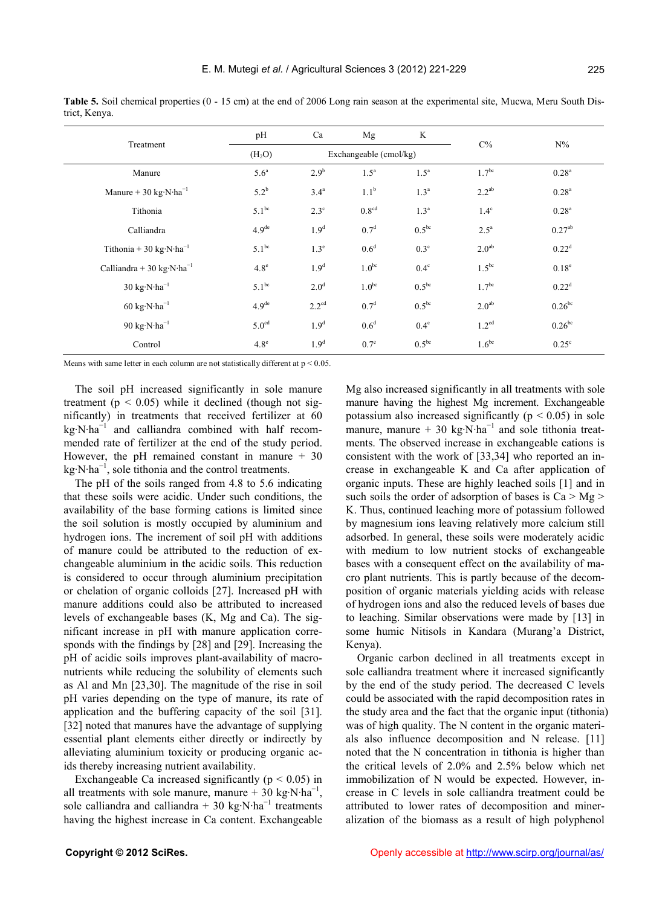|                                                     | pH                 | Ca                     | Mg                | K                 | $C\%$             | $N\%$              |
|-----------------------------------------------------|--------------------|------------------------|-------------------|-------------------|-------------------|--------------------|
| Treatment                                           | (H <sub>2</sub> O) | Exchangeable (cmol/kg) |                   |                   |                   |                    |
| Manure                                              | 5.6 <sup>a</sup>   | 2.9 <sup>b</sup>       | 1.5 <sup>a</sup>  | 1.5 <sup>a</sup>  | 1.7 <sup>bc</sup> | $0.28^{a}$         |
| Manure + 30 kg $\cdot$ N $\cdot$ ha <sup>-1</sup>   | $5.2^{\rm b}$      | 3.4 <sup>a</sup>       | 1.1 <sup>b</sup>  | 1.3 <sup>a</sup>  | $2.2^{ab}$        | $0.28^{a}$         |
| Tithonia                                            | $5.1^{\rm bc}$     | $2.3^\circ$            | 0.8 <sup>cd</sup> | 1.3 <sup>a</sup>  | $1.4^\text{c}$    | 0.28 <sup>a</sup>  |
| Calliandra                                          | 4.9 <sup>de</sup>  | 1.9 <sup>d</sup>       | 0.7 <sup>d</sup>  | 0.5 <sup>bc</sup> | $2.5^a$           | 0.27 <sup>ab</sup> |
| Tithonia + 30 kg·N·ha <sup>-1</sup>                 | $5.1^{bc}$         | 1.3 <sup>e</sup>       | $0.6^{\rm d}$     | $0.3^\circ$       | 2.0 <sup>ab</sup> | $0.22^d$           |
| Calliandra + 30 kg·N·ha <sup>-1</sup>               | $4.8^e$            | 1.9 <sup>d</sup>       | $1.0^{bc}$        | $0.4^\circ$       | $1.5^{bc}$        | $0.18^e$           |
| $30 \text{ kg} \cdot \text{N} \cdot \text{ha}^{-1}$ | $5.1^{bc}$         | 2.0 <sup>d</sup>       | $1.0^{bc}$        | $0.5^{bc}$        | 1.7 <sup>bc</sup> | $0.22^d$           |
| $60 \text{ kg} \cdot \text{N} \cdot \text{ha}^{-1}$ | 4.9 <sup>de</sup>  | $2.2^{\text{cd}}$      | 0.7 <sup>d</sup>  | $0.5^{bc}$        | 2.0 <sup>ab</sup> | $0.26^{bc}$        |
| 90 $\text{kg} \cdot \text{N} \cdot \text{ha}^{-1}$  | $5.0^{\text{cd}}$  | 1.9 <sup>d</sup>       | 0.6 <sup>d</sup>  | $0.4^\circ$       | 1.2 <sup>cd</sup> | $0.26^{bc}$        |
| Control                                             | 4.8 <sup>e</sup>   | 1.9 <sup>d</sup>       | $0.7^e$           | 0.5 <sup>bc</sup> | $1.6^{bc}$        | $0.25^{\circ}$     |

**Table 5.** Soil chemical properties (0 - 15 cm) at the end of 2006 Long rain season at the experimental site, Mucwa, Meru South District, Kenya.

Means with same letter in each column are not statistically different at  $p < 0.05$ .

The soil pH increased significantly in sole manure treatment ( $p < 0.05$ ) while it declined (though not significantly) in treatments that received fertilizer at 60 kg·N·ha<sup>−</sup><sup>1</sup> and calliandra combined with half recommended rate of fertilizer at the end of the study period. However, the pH remained constant in manure  $+30$ kg·N·ha<sup>−</sup><sup>1</sup> , sole tithonia and the control treatments.

The pH of the soils ranged from 4.8 to 5.6 indicating that these soils were acidic. Under such conditions, the availability of the base forming cations is limited since the soil solution is mostly occupied by aluminium and hydrogen ions. The increment of soil pH with additions of manure could be attributed to the reduction of exchangeable aluminium in the acidic soils. This reduction is considered to occur through aluminium precipitation or chelation of organic colloids [27]. Increased pH with manure additions could also be attributed to increased levels of exchangeable bases (K, Mg and Ca). The significant increase in pH with manure application corresponds with the findings by [28] and [29]. Increasing the pH of acidic soils improves plant-availability of macronutrients while reducing the solubility of elements such as Al and Mn [23,30]. The magnitude of the rise in soil pH varies depending on the type of manure, its rate of application and the buffering capacity of the soil [31]. [32] noted that manures have the advantage of supplying essential plant elements either directly or indirectly by alleviating aluminium toxicity or producing organic acids thereby increasing nutrient availability.

Exchangeable Ca increased significantly ( $p < 0.05$ ) in all treatments with sole manure, manure + 30 kg·N·ha<sup>-1</sup>, sole calliandra and calliandra + 30 kg⋅N⋅ha<sup>-1</sup> treatments having the highest increase in Ca content. Exchangeable

Mg also increased significantly in all treatments with sole manure having the highest Mg increment. Exchangeable potassium also increased significantly ( $p < 0.05$ ) in sole manure, manure + 30 kg⋅N⋅ha<sup>-1</sup> and sole tithonia treatments. The observed increase in exchangeable cations is consistent with the work of [33,34] who reported an increase in exchangeable K and Ca after application of organic inputs. These are highly leached soils [1] and in such soils the order of adsorption of bases is  $Ca > Mg >$ K. Thus, continued leaching more of potassium followed by magnesium ions leaving relatively more calcium still adsorbed. In general, these soils were moderately acidic with medium to low nutrient stocks of exchangeable bases with a consequent effect on the availability of macro plant nutrients. This is partly because of the decomposition of organic materials yielding acids with release of hydrogen ions and also the reduced levels of bases due to leaching. Similar observations were made by [13] in some humic Nitisols in Kandara (Murang'a District, Kenya).

Organic carbon declined in all treatments except in sole calliandra treatment where it increased significantly by the end of the study period. The decreased C levels could be associated with the rapid decomposition rates in the study area and the fact that the organic input (tithonia) was of high quality. The N content in the organic materials also influence decomposition and N release. [11] noted that the N concentration in tithonia is higher than the critical levels of 2.0% and 2.5% below which net immobilization of N would be expected. However, increase in C levels in sole calliandra treatment could be attributed to lower rates of decomposition and mineralization of the biomass as a result of high polyphenol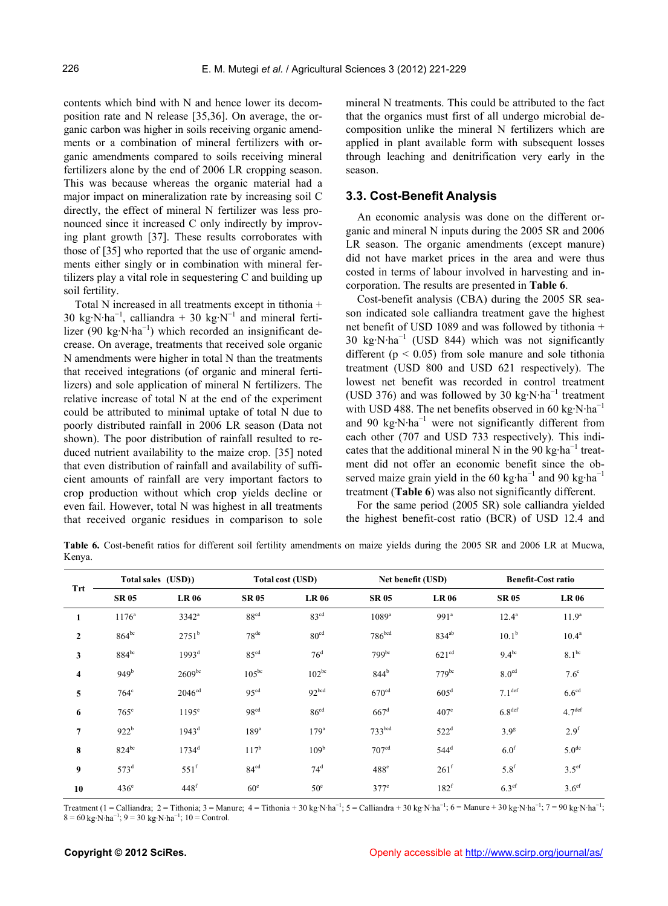contents which bind with N and hence lower its decomposition rate and N release [35,36]. On average, the organic carbon was higher in soils receiving organic amendments or a combination of mineral fertilizers with organic amendments compared to soils receiving mineral fertilizers alone by the end of 2006 LR cropping season. This was because whereas the organic material had a major impact on mineralization rate by increasing soil C directly, the effect of mineral N fertilizer was less pronounced since it increased C only indirectly by improving plant growth [37]. These results corroborates with those of [35] who reported that the use of organic amendments either singly or in combination with mineral fertilizers play a vital role in sequestering C and building up soil fertility.

Total N increased in all treatments except in tithonia + 30 kg⋅N⋅ha<sup>-1</sup>, calliandra + 30 kg⋅N<sup>-1</sup> and mineral fertilizer (90 kg·N·ha<sup>-1</sup>) which recorded an insignificant decrease. On average, treatments that received sole organic N amendments were higher in total N than the treatments that received integrations (of organic and mineral fertilizers) and sole application of mineral N fertilizers. The relative increase of total N at the end of the experiment could be attributed to minimal uptake of total N due to poorly distributed rainfall in 2006 LR season (Data not shown). The poor distribution of rainfall resulted to reduced nutrient availability to the maize crop. [35] noted that even distribution of rainfall and availability of sufficient amounts of rainfall are very important factors to crop production without which crop yields decline or even fail. However, total N was highest in all treatments that received organic residues in comparison to sole mineral N treatments. This could be attributed to the fact that the organics must first of all undergo microbial decomposition unlike the mineral N fertilizers which are applied in plant available form with subsequent losses through leaching and denitrification very early in the season.

#### **3.3. Cost-Benefit Analysis**

An economic analysis was done on the different organic and mineral N inputs during the 2005 SR and 2006 LR season. The organic amendments (except manure) did not have market prices in the area and were thus costed in terms of labour involved in harvesting and incorporation. The results are presented in **Table 6**.

Cost-benefit analysis (CBA) during the 2005 SR season indicated sole calliandra treatment gave the highest net benefit of USD 1089 and was followed by tithonia + 30 kg⋅N⋅ha<sup>-1</sup> (USD 844) which was not significantly different ( $p < 0.05$ ) from sole manure and sole tithonia treatment (USD 800 and USD 621 respectively). The lowest net benefit was recorded in control treatment (USD 376) and was followed by 30 kg⋅N⋅ha<sup>-1</sup> treatment with USD 488. The net benefits observed in 60 kg⋅N⋅ha<sup>-1</sup> and 90 kg⋅N⋅ha<sup>-1</sup> were not significantly different from each other (707 and USD 733 respectively). This indicates that the additional mineral N in the 90 kg⋅ha<sup>-1</sup> treatment did not offer an economic benefit since the observed maize grain yield in the 60 kg·ha<sup>-1</sup> and 90 kg·ha<sup>-1</sup> treatment (**Table 6**) was also not significantly different.

For the same period (2005 SR) sole calliandra yielded the highest benefit-cost ratio (BCR) of USD 12.4 and

**Table 6.** Cost-benefit ratios for different soil fertility amendments on maize yields during the 2005 SR and 2006 LR at Mucwa, Kenya.

| Trt            |                  | Total sales (USD)) |                  | <b>Total cost (USD)</b> |                     | Net benefit (USD) |                    | <b>Benefit-Cost ratio</b> |  |
|----------------|------------------|--------------------|------------------|-------------------------|---------------------|-------------------|--------------------|---------------------------|--|
|                | <b>SR05</b>      | <b>LR06</b>        | <b>SR 05</b>     | <b>LR 06</b>            | <b>SR05</b>         | <b>LR 06</b>      | <b>SR 05</b>       | <b>LR 06</b>              |  |
| 1              | $1176^a$         | $3342^a$           | 88 <sup>cd</sup> | 83 <sup>cd</sup>        | $1089$ <sup>a</sup> | 991 <sup>a</sup>  | $12.4^a$           | 11.9 <sup>a</sup>         |  |
| $\overline{2}$ | $864^{bc}$       | $2751^b$           | 78 <sup>de</sup> | 80 <sup>cd</sup>        | 786 <sup>bcd</sup>  | 834 <sup>ab</sup> | $10.1^{\rm b}$     | $10.4^a$                  |  |
| $\mathbf{3}$   | $884^{\rm bc}$   | 1993 <sup>d</sup>  | 85 <sup>cd</sup> | 76 <sup>d</sup>         | 799bc               | 621 <sup>cd</sup> | $9.4^{bc}$         | $8.1^{bc}$                |  |
| 4              | 949 <sup>b</sup> | $2609^{bc}$        | $105^{bc}$       | $102^{bc}$              | 844 <sup>b</sup>    | $779$ bc          | 8.0 <sup>cd</sup>  | 7.6 <sup>c</sup>          |  |
| 5              | $764^{\circ}$    | $2046^{\text{cd}}$ | 95 <sup>cd</sup> | 92 <sup>bcd</sup>       | 670 <sup>cd</sup>   | 605 <sup>d</sup>  | 7.1 <sup>def</sup> | 6.6 <sup>cd</sup>         |  |
| 6              | $765^{\circ}$    | 1195 <sup>e</sup>  | 98 <sup>cd</sup> | 86 <sup>cd</sup>        | $667^d$             | $407^{\circ}$     | 6.8 <sup>def</sup> | 4.7 <sup>def</sup>        |  |
| 7              | 922 <sup>b</sup> | $1943^d$           | 189 <sup>a</sup> | 179 <sup>a</sup>        | 733 <sup>bcd</sup>  | 522 <sup>d</sup>  | 3.9 <sup>g</sup>   | 2.9 <sup>f</sup>          |  |
| 8              | $824^{bc}$       | $1734^d$           | $117^b$          | 109 <sup>b</sup>        | 707 <sup>cd</sup>   | $544^d$           | 6.0 <sup>f</sup>   | 5.0 <sup>de</sup>         |  |
| 9              | $573^d$          | $551^{\mathrm{f}}$ | 84 <sup>cd</sup> | $74^d$                  | $488^\text{e}$      | 261 <sup>f</sup>  | 5.8 <sup>f</sup>   | $3.5^{\text{ef}}$         |  |
| 10             | $436^\circ$      | $448$ f            | 60 <sup>e</sup>  | 50 <sup>e</sup>         | $377^e$             | 182 <sup>f</sup>  | 6.3 <sup>ef</sup>  | 3.6 <sup>ef</sup>         |  |

Treatment (1 = Calliandra; 2 = Tithonia; 3 = Manure; 4 = Tithonia + 30 kg·N·ha<sup>-1</sup>; 5 = Calliandra + 30 kg·N·ha<sup>-1</sup>; 6 = Manure + 30 kg·N·ha<sup>-1</sup>; 7 = 90 kg·N·ha<sup>-1</sup>;  $8 = 60 \text{ kg} \cdot \text{N} \cdot \text{ha}^{-1}$ ;  $9 = 30 \text{ kg} \cdot \text{N} \cdot \text{ha}^{-1}$ ;  $10 = \text{Control}$ .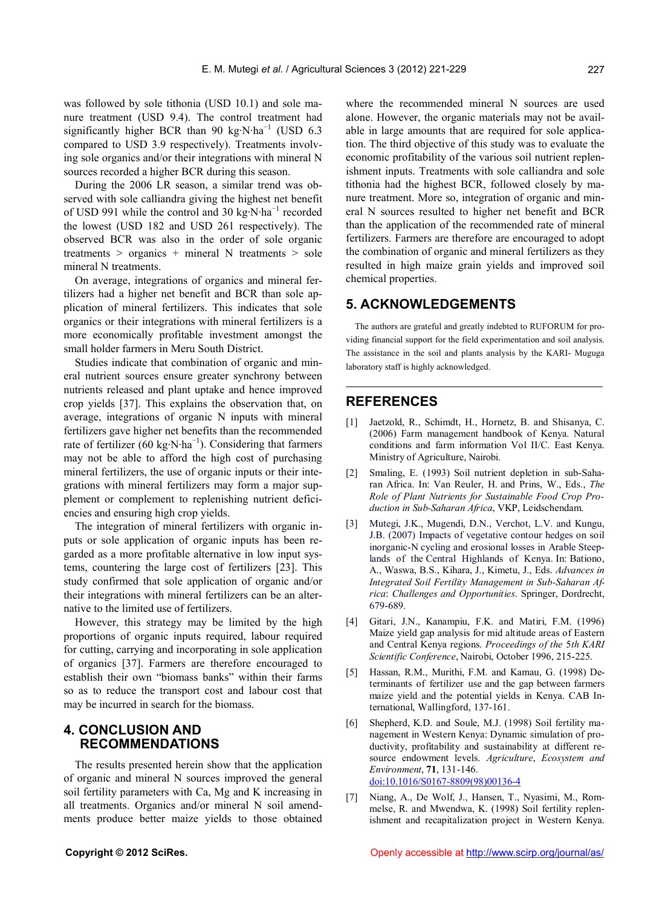was followed by sole tithonia (USD 10.1) and sole manure treatment (USD 9.4). The control treatment had significantly higher BCR than 90 kg⋅N⋅ha<sup>-1</sup> (USD 6.3 compared to USD 3.9 respectively). Treatments involving sole organics and/or their integrations with mineral N sources recorded a higher BCR during this season.

During the 2006 LR season, a similar trend was observed with sole calliandra giving the highest net benefit of USD 991 while the control and 30 kg⋅N⋅ha<sup>-1</sup> recorded the lowest (USD 182 and USD 261 respectively). The observed BCR was also in the order of sole organic treatments  $>$  organics  $+$  mineral N treatments  $>$  sole mineral N treatments.

On average, integrations of organics and mineral fertilizers had a higher net benefit and BCR than sole application of mineral fertilizers. This indicates that sole organics or their integrations with mineral fertilizers is a more economically profitable investment amongst the small holder farmers in Meru South District.

Studies indicate that combination of organic and mineral nutrient sources ensure greater synchrony between nutrients released and plant uptake and hence improved crop yields [37]. This explains the observation that, on average, integrations of organic N inputs with mineral fertilizers gave higher net benefits than the recommended rate of fertilizer (60 kg⋅N⋅ha<sup>-1</sup>). Considering that farmers may not be able to afford the high cost of purchasing mineral fertilizers, the use of organic inputs or their integrations with mineral fertilizers may form a major supplement or complement to replenishing nutrient deficiencies and ensuring high crop yields.

The integration of mineral fertilizers with organic inputs or sole application of organic inputs has been regarded as a more profitable alternative in low input systems, countering the large cost of fertilizers [23]. This study confirmed that sole application of organic and/or their integrations with mineral fertilizers can be an alternative to the limited use of fertilizers.

However, this strategy may be limited by the high proportions of organic inputs required, labour required for cutting, carrying and incorporating in sole application of organics [37]. Farmers are therefore encouraged to establish their own "biomass banks" within their farms so as to reduce the transport cost and labour cost that may be incurred in search for the biomass.

## **4. CONCLUSION AND RECOMMENDATIONS**

The results presented herein show that the application of organic and mineral N sources improved the general soil fertility parameters with Ca, Mg and K increasing in all treatments. Organics and/or mineral N soil amendments produce better maize yields to those obtained

where the recommended mineral N sources are used alone. However, the organic materials may not be available in large amounts that are required for sole application. The third objective of this study was to evaluate the economic profitability of the various soil nutrient replenishment inputs. Treatments with sole calliandra and sole tithonia had the highest BCR, followed closely by manure treatment. More so, integration of organic and mineral N sources resulted to higher net benefit and BCR than the application of the recommended rate of mineral fertilizers. Farmers are therefore are encouraged to adopt the combination of organic and mineral fertilizers as they resulted in high maize grain yields and improved soil chemical properties.

## **5. ACKNOWLEDGEMENTS**

The authors are grateful and greatly indebted to RUFORUM for providing financial support for the field experimentation and soil analysis. The assistance in the soil and plants analysis by the KARI- Muguga laboratory staff is highly acknowledged.

## **REFERENCES**

- Jaetzold, R., Schimdt, H., Hornetz, B. and Shisanya, C. (2006) Farm management handbook of Kenya. Natural conditions and farm information Vol II/C. East Kenya. Ministry of Agriculture, Nairobi.
- [2] Smaling, E. (1993) Soil nutrient depletion in sub-Saharan Africa. In: Van Reuler, H. and Prins, W., Eds., *The Role of Plant Nutrients for Sustainable Food Crop Production in Sub-Saharan Africa*, VKP, Leidschendam.
- [3] Mutegi, J.K., Mugendi, D.N., Verchot, L.V. and Kungu, J.B. (2007) Impacts of vegetative contour hedges on soil inorganic-N cycling and erosional losses in Arable Steeplands of the Central Highlands of Kenya. In: Bationo, A., Waswa, B.S., Kihara, J., Kimetu, J., Eds. *Advances in Integrated Soil Fertility Management in Sub-Saharan Africa*: *Challenges and Opportunities*. Springer, Dordrecht, 679-689.
- [4] Gitari, J.N., Kanampiu, F.K. and Matiri, F.M. (1996) Maize yield gap analysis for mid altitude areas of Eastern and Central Kenya regions. *Proceedings of the* 5*th KARI Scientific Conference*, Nairobi, October 1996, 215-225.
- [5] Hassan, R.M., Murithi, F.M. and Kamau, G. (1998) Determinants of fertilizer use and the gap between farmers maize yield and the potential yields in Kenya. CAB International, Wallingford, 137-161.
- [6] Shepherd, K.D. and Soule, M.J. (1998) Soil fertility management in Western Kenya: Dynamic simulation of productivity, profitability and sustainability at different resource endowment levels. *Agriculture*, *Ecosystem and Environment*, **71**, 131-146. [doi:10.1016/S0167-8809\(98\)00136-4](http://dx.doi.org/10.1016/S0167-8809(98)00136-4)
- [7] Niang, A., De Wolf, J., Hansen, T., Nyasimi, M., Rommelse, R. and Mwendwa, K. (1998) Soil fertility replenishment and recapitalization project in Western Kenya.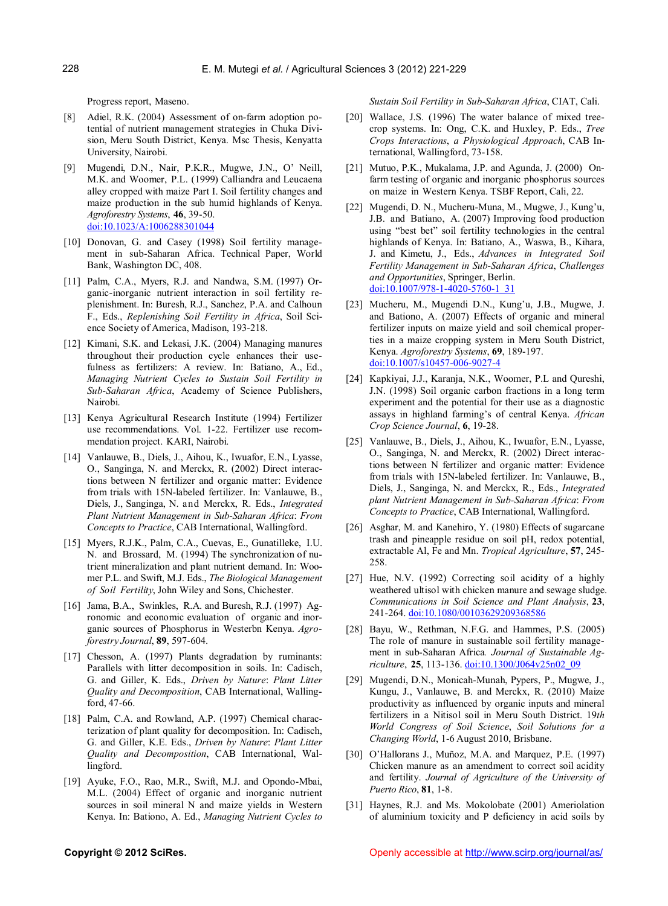Progress report, Maseno.

- [8] Adiel, R.K. (2004) Assessment of on-farm adoption potential of nutrient management strategies in Chuka Division, Meru South District, Kenya. Msc Thesis, Kenyatta University, Nairobi.
- [9] Mugendi, D.N., Nair, P.K.R., Mugwe, J.N., O' Neill, M.K. and Woomer, P.L. (1999) Calliandra and Leucaena alley cropped with maize Part I. Soil fertility changes and maize production in the sub humid highlands of Kenya. *Agroforestry Systems*, **46**, 39-50. [doi:10.1023/A:1006288301044](http://dx.doi.org/10.1023/A:1006288301044)
- [10] Donovan, G. and Casey (1998) Soil fertility management in sub-Saharan Africa. Technical Paper, World Bank, Washington DC, 408.
- [11] Palm, C.A., Myers, R.J. and Nandwa, S.M. (1997) Organic-inorganic nutrient interaction in soil fertility replenishment. In: Buresh, R.J., Sanchez, P.A. and Calhoun F., Eds., *Replenishing Soil Fertility in Africa*, Soil Science Society of America, Madison, 193-218.
- [12] Kimani, S.K. and Lekasi, J.K. (2004) Managing manures throughout their production cycle enhances their usefulness as fertilizers: A review. In: Batiano, A., Ed., *Managing Nutrient Cycles to Sustain Soil Fertility in Sub-Saharan Africa*, Academy of Science Publishers, Nairobi.
- [13] Kenya Agricultural Research Institute (1994) Fertilizer use recommendations. Vol. 1-22. Fertilizer use recommendation project. KARI, Nairobi.
- [14] Vanlauwe, B., Diels, J., Aihou, K., Iwuafor, E.N., Lyasse, O., Sanginga, N. and Merckx, R. (2002) Direct interactions between N fertilizer and organic matter: Evidence from trials with 15N-labeled fertilizer. In: Vanlauwe, B., Diels, J., Sanginga, N. and Merckx, R. Eds., *Integrated Plant Nutrient Management in Sub-Saharan Africa*: *From Concepts to Practice*, CAB International, Wallingford.
- [15] Myers, R.J.K., Palm, C.A., Cuevas, E., Gunatilleke, I.U. N. and Brossard, M. (1994) The synchronization of nutrient mineralization and plant nutrient demand. In: Woomer P.L. and Swift, M.J. Eds., *The Biological Management of Soil Fertility*, John Wiley and Sons, Chichester.
- [16] Jama, B.A., Swinkles, R.A. and Buresh, R.J. (1997) Agronomic and economic evaluation of organic and inorganic sources of Phosphorus in Westerbn Kenya. *Agroforestry Journal*, **89**, 597-604.
- [17] Chesson, A. (1997) Plants degradation by ruminants: Parallels with litter decomposition in soils. In: Cadisch, G. and Giller, K. Eds., *Driven by Nature*: *Plant Litter Quality and Decomposition*, CAB International, Wallingford, 47-66.
- [18] Palm, C.A. and Rowland, A.P. (1997) Chemical characterization of plant quality for decomposition. In: Cadisch, G. and Giller, K.E. Eds., *Driven by Nature*: *Plant Litter Quality and Decomposition*, CAB International, Wallingford.
- [19] Ayuke, F.O., Rao, M.R., Swift, M.J. and Opondo-Mbai, M.L. (2004) Effect of organic and inorganic nutrient sources in soil mineral N and maize yields in Western Kenya. In: Bationo, A. Ed., *Managing Nutrient Cycles to*

*Sustain Soil Fertility in Sub-Saharan Africa*, CIAT, Cali.

- [20] Wallace, J.S. (1996) The water balance of mixed treecrop systems. In: Ong, C.K. and Huxley, P. Eds., *Tree Crops Interactions*, *a Physiological Approach*, CAB International, Wallingford, 73-158.
- [21] Mutuo, P.K., Mukalama, J.P. and Agunda, J. (2000) Onfarm testing of organic and inorganic phosphorus sources on maize in Western Kenya. TSBF Report, Cali, 22.
- [22] Mugendi, D. N., Mucheru-Muna, M., Mugwe, J., Kung'u, J.B. and Batiano, A. (2007) Improving food production using "best bet" soil fertility technologies in the central highlands of Kenya. In: Batiano, A., Waswa, B., Kihara, J. and Kimetu, J., Eds., *Advances in Integrated Soil Fertility Management in Sub-Saharan Africa*, *Challenges and Opportunities*, Springer, Berlin. [doi:10.1007/978-1-4020-5760-1\\_31](http://dx.doi.org/10.1007/978-1-4020-5760-1_31)
- [23] Mucheru, M., Mugendi D.N., Kung'u, J.B., Mugwe, J. and Bationo, A. (2007) Effects of organic and mineral fertilizer inputs on maize yield and soil chemical properties in a maize cropping system in Meru South District, Kenya. *Agroforestry Systems*, **69**, 189-197. [doi:10.1007/s10457-006-9027-4](http://dx.doi.org/10.1007/s10457-006-9027-4)
- [24] Kapkiyai, J.J., Karanja, N.K., Woomer, P.L and Qureshi, J.N. (1998) Soil organic carbon fractions in a long term experiment and the potential for their use as a diagnostic assays in highland farming's of central Kenya. *African Crop Science Journal*, **6**, 19-28.
- [25] Vanlauwe, B., Diels, J., Aihou, K., Iwuafor, E.N., Lyasse, O., Sanginga, N. and Merckx, R. (2002) Direct interactions between N fertilizer and organic matter: Evidence from trials with 15N-labeled fertilizer. In: Vanlauwe, B., Diels, J., Sanginga, N. and Merckx, R., Eds., *Integrated plant Nutrient Management in Sub-Saharan Africa*: *From Concepts to Practice*, CAB International, Wallingford.
- [26] Asghar, M. and Kanehiro, Y. (1980) Effects of sugarcane trash and pineapple residue on soil pH, redox potential, extractable Al, Fe and Mn. *Tropical Agriculture*, **57**, 245- 258.
- [27] Hue, N.V. (1992) Correcting soil acidity of a highly weathered ultisol with chicken manure and sewage sludge. *Communications in Soil Science and Plant Analysis*, **23**, 241-264. [doi:10.1080/00103629209368586](http://dx.doi.org/10.1080/00103629209368586)
- [28] Bayu, W., Rethman, N.F.G. and Hammes, P.S. (2005) The role of manure in sustainable soil fertility management in sub-Saharan Africa*. Journal of Sustainable Agriculture*, **25**, 113-136. [doi:10.1300/J064v25n02\\_09](http://dx.doi.org/10.1300/J064v25n02_09)
- [29] Mugendi, D.N., Monicah-Munah, Pypers, P., Mugwe, J., Kungu, J., Vanlauwe, B. and Merckx, R. (2010) Maize productivity as influenced by organic inputs and mineral fertilizers in a Nitisol soil in Meru South District. 19*th World Congress of Soil Science*, *Soil Solutions for a Changing World*, 1-6 August 2010, Brisbane.
- [30] O'Hallorans J., Muñoz, M.A. and Marquez, P.E. (1997) Chicken manure as an amendment to correct soil acidity and fertility. *Journal of Agriculture of the University of Puerto Rico*, **81**, 1-8.
- [31] Haynes, R.J. and Ms. Mokolobate (2001) Ameriolation of aluminium toxicity and P deficiency in acid soils by